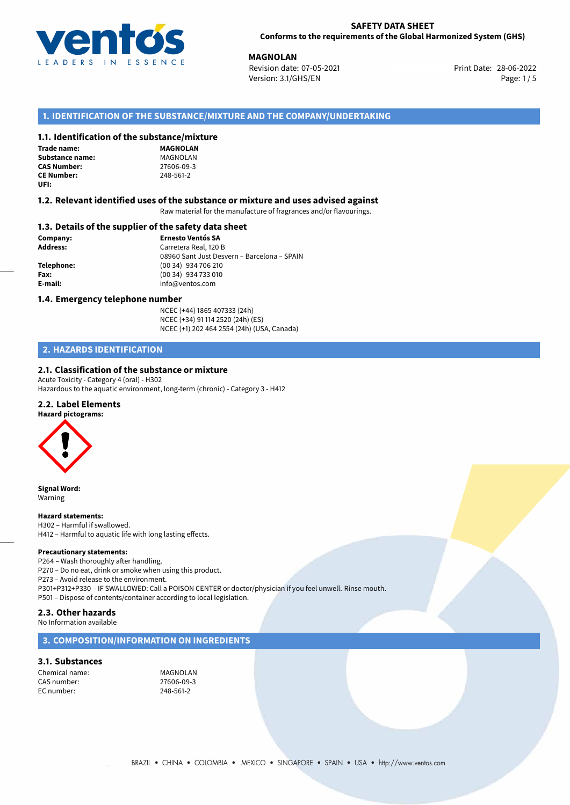

**MAGNOLAN**<br> **Revision date: 07-05-2021 Print Date: 28-06-2022** Version: 3.1/GHS/EN Page: 1 / 5

# **1. IDENTIFICATION OF THE SUBSTANCE/MIXTURE AND THE COMPANY/UNDERTAKING**

#### **1.1. Identification of the substance/mixture**

| <b>Trade name:</b> |
|--------------------|
| Substance name:    |
| <b>CAS Number:</b> |
| <b>CE Number:</b>  |
| UFI:               |

**MAGNOLAN Substance name:** MAGNOLAN **CAS Number:** 27606-09-3 **CE Number:** 248-561-2

#### **1.2. Relevant identified uses of the substance or mixture and uses advised against**

Raw material for the manufacture of fragrances and/or flavourings.

#### **1.3. Details of the supplier of the safety data sheet**

**Company: Ernesto Ventós SA Address:** Carretera Real, 120 B 08960 Sant Just Desvern – Barcelona – SPAIN **Telephone:** (00 34) 934 706 210 **Fax:** (00 34) 934 733 010 **E-mail:** info@ventos.com

#### **1.4. Emergency telephone number**

NCEC (+44) 1865 407333 (24h) NCEC (+34) 91 114 2520 (24h) (ES) NCEC (+1) 202 464 2554 (24h) (USA, Canada)

# **2. HAZARDS IDENTIFICATION**

#### **2.1. Classification of the substance or mixture**

Acute Toxicity - Category 4 (oral) - H302 Hazardous to the aquatic environment, long-term (chronic) - Category 3 - H412

#### **2.2. Label Elements**



**Signal Word:** Warning

#### **Hazard statements:**

H302 – Harmful if swallowed. H412 – Harmful to aquatic life with long lasting effects.

#### **Precautionary statements:**

P264 – Wash thoroughly after handling.

P270 – Do no eat, drink or smoke when using this product.

P273 – Avoid release to the environment.

P301+P312+P330 – IF SWALLOWED: Call a POISON CENTER or doctor/physician if you feel unwell. Rinse mouth.

P501 – Dispose of contents/container according to local legislation.

# **2.3. Other hazards**

No Information available

### **3. COMPOSITION/INFORMATION ON INGREDIENTS**

#### **3.1. Substances**

Chemical name: MAGNOLAN CAS number: 27606-09-3<br>
FC number: 248-561-2  $FC$  number: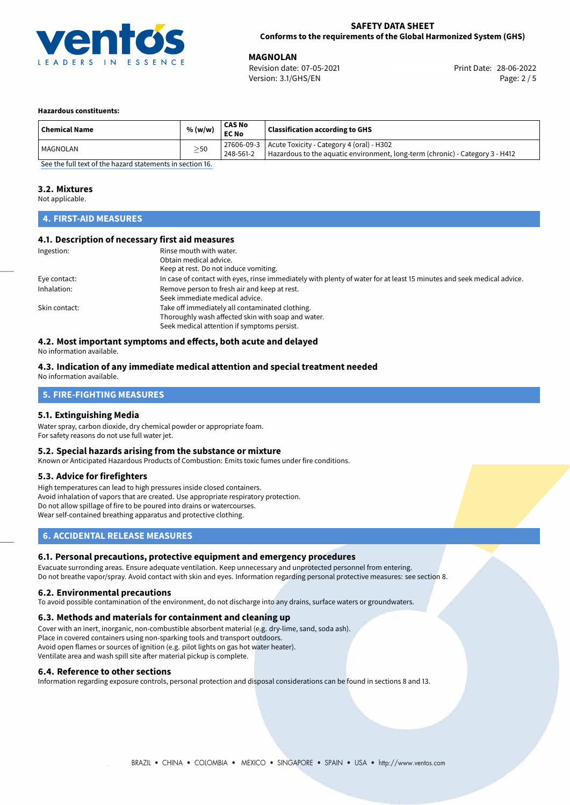

**MAGNOLAN**<br>
Revision date: 07-05-2021 **Print Date: 28-06-2022** Version: 3.1/GHS/EN Page: 2 / 5

#### **Hazardous constituents:**

| <b>Chemical Name</b>                                      | % (w/w)   | CAS No<br><b>EC No</b> | <b>Classification according to GHS</b>                                                                                                  |  |
|-----------------------------------------------------------|-----------|------------------------|-----------------------------------------------------------------------------------------------------------------------------------------|--|
| l MAGNOLAN                                                | $\geq$ 50 | 248-561-2              | 27606-09-3   Acute Toxicity - Category 4 (oral) - H302<br>Hazardous to the aquatic environment, long-term (chronic) - Category 3 - H412 |  |
| Can then full tout of the bound statements in continue 10 |           |                        |                                                                                                                                         |  |

[See the full text of the hazard statements in section 16.](#page-4-0)

### **3.2. Mixtures**

Not applicable.

# **4. FIRST-AID MEASURES**

#### **4.1. Description of necessary first aid measures**

| Ingestion:    | Rinse mouth with water.<br>Obtain medical advice.                                                                     |
|---------------|-----------------------------------------------------------------------------------------------------------------------|
|               | Keep at rest. Do not induce vomiting.                                                                                 |
| Eye contact:  | In case of contact with eyes, rinse immediately with plenty of water for at least 15 minutes and seek medical advice. |
| Inhalation:   | Remove person to fresh air and keep at rest.                                                                          |
|               | Seek immediate medical advice.                                                                                        |
| Skin contact: | Take off immediately all contaminated clothing.                                                                       |
|               | Thoroughly wash affected skin with soap and water.                                                                    |
|               | Seek medical attention if symptoms persist.                                                                           |

# **4.2. Most important symptoms and effects, both acute and delayed**

No information available.

#### **4.3. Indication of any immediate medical attention and special treatment needed** No information available.

# **5. FIRE-FIGHTING MEASURES**

#### **5.1. Extinguishing Media**

Water spray, carbon dioxide, dry chemical powder or appropriate foam. For safety reasons do not use full water jet.

#### **5.2. Special hazards arising from the substance or mixture**

Known or Anticipated Hazardous Products of Combustion: Emits toxic fumes under fire conditions.

# **5.3. Advice for firefighters**

High temperatures can lead to high pressures inside closed containers. Avoid inhalation of vapors that are created. Use appropriate respiratory protection. Do not allow spillage of fire to be poured into drains or watercourses. Wear self-contained breathing apparatus and protective clothing.

# **6. ACCIDENTAL RELEASE MEASURES**

# **6.1. Personal precautions, protective equipment and emergency procedures**

Evacuate surronding areas. Ensure adequate ventilation. Keep unnecessary and unprotected personnel from entering. Do not breathe vapor/spray. Avoid contact with skin and eyes. Information regarding personal protective measures: see section 8.

#### **6.2. Environmental precautions**

To avoid possible contamination of the environment, do not discharge into any drains, surface waters or groundwaters.

#### **6.3. Methods and materials for containment and cleaning up**

Cover with an inert, inorganic, non-combustible absorbent material (e.g. dry-lime, sand, soda ash). Place in covered containers using non-sparking tools and transport outdoors. Avoid open flames or sources of ignition (e.g. pilot lights on gas hot water heater). Ventilate area and wash spill site after material pickup is complete.

#### **6.4. Reference to other sections**

Information regarding exposure controls, personal protection and disposal considerations can be found in sections 8 and 13.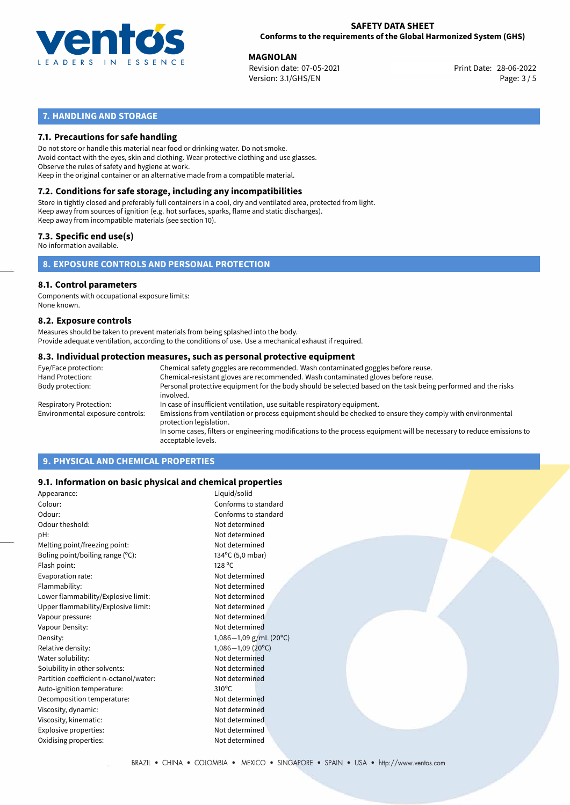

**MAGNOLAN**<br>
Revision date: 07-05-2021 **Print Date: 28-06-2022** Version: 3.1/GHS/EN Page: 3 / 5

# **7. HANDLING AND STORAGE**

### **7.1. Precautions for safe handling**

Do not store or handle this material near food or drinking water. Do not smoke. Avoid contact with the eyes, skin and clothing. Wear protective clothing and use glasses. Observe the rules of safety and hygiene at work. Keep in the original container or an alternative made from a compatible material.

# **7.2. Conditions for safe storage, including any incompatibilities**

Store in tightly closed and preferably full containers in a cool, dry and ventilated area, protected from light. Keep away from sources of ignition (e.g. hot surfaces, sparks, flame and static discharges). Keep away from incompatible materials (see section 10).

#### **7.3. Specific end use(s)**

No information available.

**8. EXPOSURE CONTROLS AND PERSONAL PROTECTION**

# **8.1. Control parameters**

Components with occupational exposure limits: None known.

#### **8.2. Exposure controls**

Measures should be taken to prevent materials from being splashed into the body. Provide adequate ventilation, according to the conditions of use. Use a mechanical exhaust if required.

#### **8.3. Individual protection measures, such as personal protective equipment**

| Eye/Face protection:             | Chemical safety goggles are recommended. Wash contaminated goggles before reuse.                                                            |
|----------------------------------|---------------------------------------------------------------------------------------------------------------------------------------------|
| Hand Protection:                 | Chemical-resistant gloves are recommended. Wash contaminated gloves before reuse.                                                           |
| Body protection:                 | Personal protective equipment for the body should be selected based on the task being performed and the risks<br>involved.                  |
| Respiratory Protection:          | In case of insufficient ventilation, use suitable respiratory equipment.                                                                    |
| Environmental exposure controls: | Emissions from ventilation or process equipment should be checked to ensure they comply with environmental<br>protection legislation.       |
|                                  | In some cases, filters or engineering modifications to the process equipment will be necessary to reduce emissions to<br>acceptable levels. |
|                                  |                                                                                                                                             |

# **9. PHYSICAL AND CHEMICAL PROPERTIES**

#### **9.1. Information on basic physical and chemical properties**

| Appearance:                            | Liquid/solid                     |
|----------------------------------------|----------------------------------|
| Colour:                                | Conforms to standard             |
| Odour:                                 | Conforms to standard             |
| Odour theshold:                        | Not determined                   |
| pH:                                    | Not determined                   |
| Melting point/freezing point:          | Not determined                   |
| Boling point/boiling range (°C):       | 134°C (5,0 mbar)                 |
| Flash point:                           | 128 °C                           |
| Evaporation rate:                      | Not determined                   |
| Flammability:                          | Not determined                   |
| Lower flammability/Explosive limit:    | Not determined                   |
| Upper flammability/Explosive limit:    | Not determined                   |
| Vapour pressure:                       | Not determined                   |
| Vapour Density:                        | Not determined                   |
| Density:                               | $1,086-1,09$ g/mL (20°C)         |
| Relative density:                      | $1,086 - 1,09$ (20 $^{\circ}$ C) |
| Water solubility:                      | Not determined                   |
| Solubility in other solvents:          | Not determined                   |
| Partition coefficient n-octanol/water: | Not determined                   |
| Auto-ignition temperature:             | $310^{\circ}$ C                  |
| Decomposition temperature:             | Not determined                   |
| Viscosity, dynamic:                    | Not determined                   |
| Viscosity, kinematic:                  | Not determined                   |
| Explosive properties:                  | Not determined                   |
| Oxidising properties:                  | Not determined                   |
|                                        |                                  |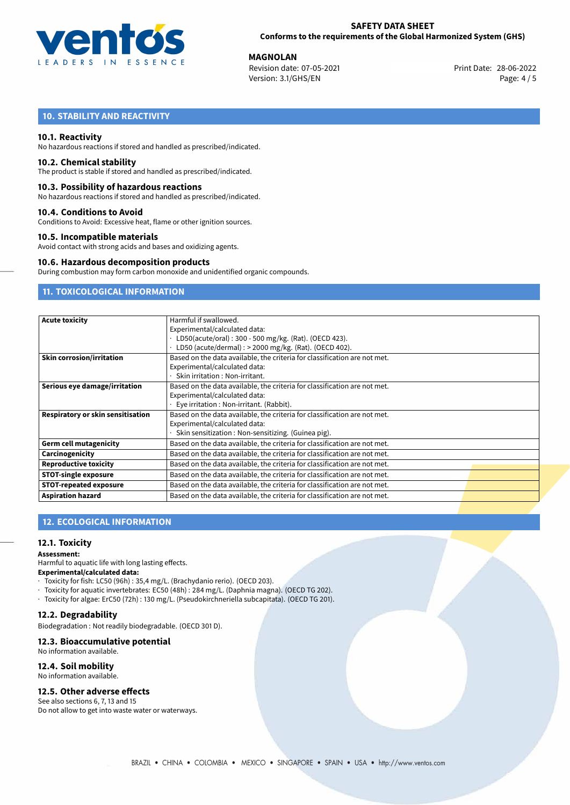

**MAGNOLAN**<br>
Revision date: 07-05-2021 **Print Date: 28-06-2022** Version: 3.1/GHS/EN Page: 4 / 5

# **10. STABILITY AND REACTIVITY**

#### **10.1. Reactivity**

No hazardous reactions if stored and handled as prescribed/indicated.

#### **10.2. Chemical stability**

The product is stable if stored and handled as prescribed/indicated.

#### **10.3. Possibility of hazardous reactions**

No hazardous reactions if stored and handled as prescribed/indicated.

#### **10.4. Conditions to Avoid**

Conditions to Avoid: Excessive heat, flame or other ignition sources.

#### **10.5. Incompatible materials**

Avoid contact with strong acids and bases and oxidizing agents.

#### **10.6. Hazardous decomposition products**

During combustion may form carbon monoxide and unidentified organic compounds.

# **11. TOXICOLOGICAL INFORMATION**

| <b>Acute toxicity</b>             | Harmful if swallowed.                                                     |  |  |  |  |
|-----------------------------------|---------------------------------------------------------------------------|--|--|--|--|
|                                   | Experimental/calculated data:                                             |  |  |  |  |
|                                   | LD50(acute/oral): 300 - 500 mg/kg. (Rat). (OECD 423).                     |  |  |  |  |
|                                   | LD50 (acute/dermal) : > 2000 mg/kg. (Rat). (OECD 402).                    |  |  |  |  |
| <b>Skin corrosion/irritation</b>  | Based on the data available, the criteria for classification are not met. |  |  |  |  |
|                                   | Experimental/calculated data:                                             |  |  |  |  |
|                                   | Skin irritation: Non-irritant.                                            |  |  |  |  |
| Serious eye damage/irritation     | Based on the data available, the criteria for classification are not met. |  |  |  |  |
|                                   | Experimental/calculated data:                                             |  |  |  |  |
|                                   | Eye irritation : Non-irritant. (Rabbit).                                  |  |  |  |  |
| Respiratory or skin sensitisation | Based on the data available, the criteria for classification are not met. |  |  |  |  |
|                                   | Experimental/calculated data:                                             |  |  |  |  |
|                                   | Skin sensitization : Non-sensitizing. (Guinea pig).                       |  |  |  |  |
| <b>Germ cell mutagenicity</b>     | Based on the data available, the criteria for classification are not met. |  |  |  |  |
| Carcinogenicity                   | Based on the data available, the criteria for classification are not met. |  |  |  |  |
| <b>Reproductive toxicity</b>      | Based on the data available, the criteria for classification are not met. |  |  |  |  |
| <b>STOT-single exposure</b>       | Based on the data available, the criteria for classification are not met. |  |  |  |  |
| <b>STOT-repeated exposure</b>     | Based on the data available, the criteria for classification are not met. |  |  |  |  |
| <b>Aspiration hazard</b>          | Based on the data available, the criteria for classification are not met. |  |  |  |  |

# **12. ECOLOGICAL INFORMATION**

#### **12.1. Toxicity**

#### **Assessment:**

Harmful to aquatic life with long lasting effects.

#### **Experimental/calculated data:**

- · Toxicity for fish: LC50 (96h) : 35,4 mg/L. (Brachydanio rerio). (OECD 203).
- · Toxicity for aquatic invertebrates: EC50 (48h) : 284 mg/L. (Daphnia magna). (OECD TG 202).
- · Toxicity for algae: ErC50 (72h) : 130 mg/L. (Pseudokirchneriella subcapitata). (OECD TG 201).

# **12.2. Degradability**

Biodegradation : Not readily biodegradable. (OECD 301 D).

# **12.3. Bioaccumulative potential**

No information available.

# **12.4. Soil mobility**

No information available.

# **12.5. Other adverse effects**

See also sections 6, 7, 13 and 15 Do not allow to get into waste water or waterways.